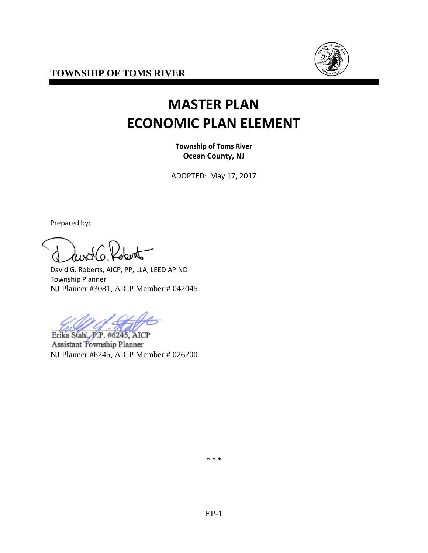**TOWNSHIP OF TOMS RIVER**



# **MASTER PLAN ECONOMIC PLAN ELEMENT**

**Township of Toms River Ocean County, NJ**

ADOPTED: May 17, 2017

Prepared by:

 $\sqrt{2}$ 

David G. Roberts, AICP, PP, LLA, LEED AP ND Township Planner NJ Planner #3081, AICP Member # 042045

Erika Stahl, P.P. #6245, AICP Assistant Township Planner NJ Planner #6245, AICP Member # 026200

\* \* \*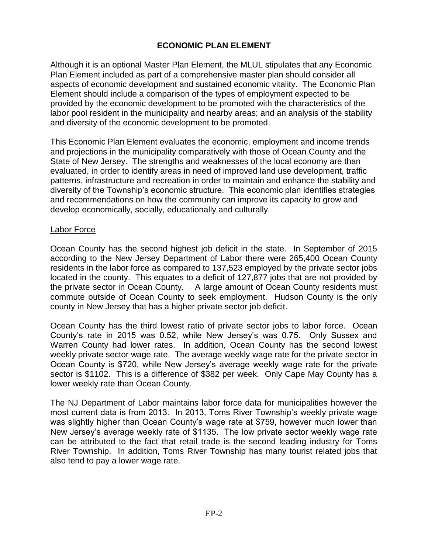# **ECONOMIC PLAN ELEMENT**

Although it is an optional Master Plan Element, the MLUL stipulates that any Economic Plan Element included as part of a comprehensive master plan should consider all aspects of economic development and sustained economic vitality. The Economic Plan Element should include a comparison of the types of employment expected to be provided by the economic development to be promoted with the characteristics of the labor pool resident in the municipality and nearby areas; and an analysis of the stability and diversity of the economic development to be promoted.

This Economic Plan Element evaluates the economic, employment and income trends and projections in the municipality comparatively with those of Ocean County and the State of New Jersey. The strengths and weaknesses of the local economy are than evaluated, in order to identify areas in need of improved land use development, traffic patterns, infrastructure and recreation in order to maintain and enhance the stability and diversity of the Township's economic structure. This economic plan identifies strategies and recommendations on how the community can improve its capacity to grow and develop economically, socially, educationally and culturally.

#### Labor Force

Ocean County has the second highest job deficit in the state. In September of 2015 according to the New Jersey Department of Labor there were 265,400 Ocean County residents in the labor force as compared to 137,523 employed by the private sector jobs located in the county. This equates to a deficit of 127,877 jobs that are not provided by the private sector in Ocean County. A large amount of Ocean County residents must commute outside of Ocean County to seek employment. Hudson County is the only county in New Jersey that has a higher private sector job deficit.

Ocean County has the third lowest ratio of private sector jobs to labor force. Ocean County's rate in 2015 was 0.52, while New Jersey's was 0.75. Only Sussex and Warren County had lower rates. In addition, Ocean County has the second lowest weekly private sector wage rate. The average weekly wage rate for the private sector in Ocean County is \$720, while New Jersey's average weekly wage rate for the private sector is \$1102. This is a difference of \$382 per week. Only Cape May County has a lower weekly rate than Ocean County.

The NJ Department of Labor maintains labor force data for municipalities however the most current data is from 2013. In 2013, Toms River Township's weekly private wage was slightly higher than Ocean County's wage rate at \$759, however much lower than New Jersey's average weekly rate of \$1135. The low private sector weekly wage rate can be attributed to the fact that retail trade is the second leading industry for Toms River Township. In addition, Toms River Township has many tourist related jobs that also tend to pay a lower wage rate.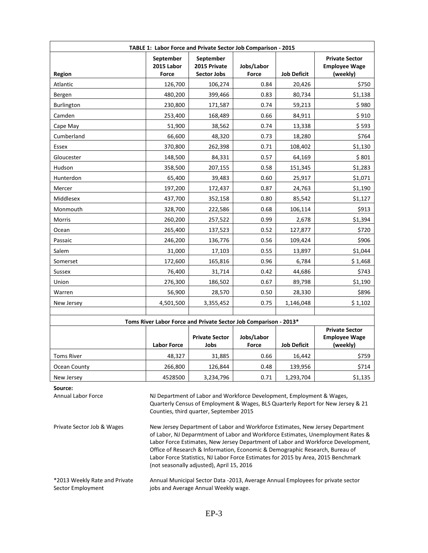| TABLE 1: Labor Force and Private Sector Job Comparison - 2015                                                                                                                                                                                                                                                                                        |                                                                                                                                                                                                                                                                                                                                                                                       |                                                                  |                     |                    |                                                           |
|------------------------------------------------------------------------------------------------------------------------------------------------------------------------------------------------------------------------------------------------------------------------------------------------------------------------------------------------------|---------------------------------------------------------------------------------------------------------------------------------------------------------------------------------------------------------------------------------------------------------------------------------------------------------------------------------------------------------------------------------------|------------------------------------------------------------------|---------------------|--------------------|-----------------------------------------------------------|
| Region                                                                                                                                                                                                                                                                                                                                               | September<br>2015 Labor<br>Force                                                                                                                                                                                                                                                                                                                                                      | September<br>2015 Private<br><b>Sector Jobs</b>                  | Jobs/Labor<br>Force | <b>Job Deficit</b> | <b>Private Sector</b><br><b>Employee Wage</b><br>(weekly) |
| Atlantic                                                                                                                                                                                                                                                                                                                                             | 126,700                                                                                                                                                                                                                                                                                                                                                                               | 106,274                                                          | 0.84                | 20,426             | \$750                                                     |
| Bergen                                                                                                                                                                                                                                                                                                                                               | 480,200                                                                                                                                                                                                                                                                                                                                                                               | 399,466                                                          | 0.83                | 80,734             | \$1,138                                                   |
| <b>Burlington</b>                                                                                                                                                                                                                                                                                                                                    | 230,800                                                                                                                                                                                                                                                                                                                                                                               | 171,587                                                          | 0.74                | 59,213             | \$980                                                     |
| Camden                                                                                                                                                                                                                                                                                                                                               | 253,400                                                                                                                                                                                                                                                                                                                                                                               | 168,489                                                          | 0.66                | 84,911             | \$910                                                     |
| Cape May                                                                                                                                                                                                                                                                                                                                             | 51,900                                                                                                                                                                                                                                                                                                                                                                                | 38,562                                                           | 0.74                | 13,338             | \$593                                                     |
| Cumberland                                                                                                                                                                                                                                                                                                                                           | 66,600                                                                                                                                                                                                                                                                                                                                                                                | 48,320                                                           | 0.73                | 18,280             | \$764                                                     |
| Essex                                                                                                                                                                                                                                                                                                                                                | 370,800                                                                                                                                                                                                                                                                                                                                                                               | 262,398                                                          | 0.71                | 108,402            | \$1,130                                                   |
| Gloucester                                                                                                                                                                                                                                                                                                                                           | 148,500                                                                                                                                                                                                                                                                                                                                                                               | 84,331                                                           | 0.57                | 64,169             | \$801                                                     |
| Hudson                                                                                                                                                                                                                                                                                                                                               | 358,500                                                                                                                                                                                                                                                                                                                                                                               | 207,155                                                          | 0.58                | 151,345            | \$1,283                                                   |
| Hunterdon                                                                                                                                                                                                                                                                                                                                            | 65,400                                                                                                                                                                                                                                                                                                                                                                                | 39,483                                                           | 0.60                | 25,917             | \$1,071                                                   |
| Mercer                                                                                                                                                                                                                                                                                                                                               | 197,200                                                                                                                                                                                                                                                                                                                                                                               | 172,437                                                          | 0.87                | 24,763             | \$1,190                                                   |
| Middlesex                                                                                                                                                                                                                                                                                                                                            | 437,700                                                                                                                                                                                                                                                                                                                                                                               | 352,158                                                          | 0.80                | 85,542             | \$1,127                                                   |
| Monmouth                                                                                                                                                                                                                                                                                                                                             | 328,700                                                                                                                                                                                                                                                                                                                                                                               | 222,586                                                          | 0.68                | 106,114            | \$913                                                     |
| Morris                                                                                                                                                                                                                                                                                                                                               | 260,200                                                                                                                                                                                                                                                                                                                                                                               | 257,522                                                          | 0.99                | 2,678              | \$1,394                                                   |
| Ocean                                                                                                                                                                                                                                                                                                                                                | 265,400                                                                                                                                                                                                                                                                                                                                                                               | 137,523                                                          | 0.52                | 127,877            | \$720                                                     |
| Passaic                                                                                                                                                                                                                                                                                                                                              | 246,200                                                                                                                                                                                                                                                                                                                                                                               | 136,776                                                          | 0.56                | 109,424            | \$906                                                     |
| Salem                                                                                                                                                                                                                                                                                                                                                | 31,000                                                                                                                                                                                                                                                                                                                                                                                | 17,103                                                           | 0.55                | 13,897             | \$1,044                                                   |
| Somerset                                                                                                                                                                                                                                                                                                                                             | 172,600                                                                                                                                                                                                                                                                                                                                                                               | 165,816                                                          | 0.96                | 6,784              | \$1,468                                                   |
| <b>Sussex</b>                                                                                                                                                                                                                                                                                                                                        | 76,400                                                                                                                                                                                                                                                                                                                                                                                | 31,714                                                           | 0.42                | 44,686             | \$743                                                     |
| Union                                                                                                                                                                                                                                                                                                                                                | 276,300                                                                                                                                                                                                                                                                                                                                                                               | 186,502                                                          | 0.67                | 89,798             | \$1,190                                                   |
| Warren                                                                                                                                                                                                                                                                                                                                               | 56,900                                                                                                                                                                                                                                                                                                                                                                                | 28,570                                                           | 0.50                | 28,330             | \$896                                                     |
| New Jersey                                                                                                                                                                                                                                                                                                                                           | 4,501,500                                                                                                                                                                                                                                                                                                                                                                             | 3,355,452                                                        | 0.75                | 1,146,048          | \$1,102                                                   |
|                                                                                                                                                                                                                                                                                                                                                      |                                                                                                                                                                                                                                                                                                                                                                                       |                                                                  |                     |                    |                                                           |
|                                                                                                                                                                                                                                                                                                                                                      |                                                                                                                                                                                                                                                                                                                                                                                       | Toms River Labor Force and Private Sector Job Comparison - 2013* |                     |                    |                                                           |
|                                                                                                                                                                                                                                                                                                                                                      | <b>Labor Force</b>                                                                                                                                                                                                                                                                                                                                                                    | <b>Private Sector</b><br>Jobs                                    | Jobs/Labor<br>Force | <b>Job Deficit</b> | <b>Private Sector</b><br><b>Employee Wage</b><br>(weekly) |
| <b>Toms River</b>                                                                                                                                                                                                                                                                                                                                    | 48,327                                                                                                                                                                                                                                                                                                                                                                                | 31,885                                                           | 0.66                | 16,442             | \$759                                                     |
| Ocean County                                                                                                                                                                                                                                                                                                                                         | 266,800                                                                                                                                                                                                                                                                                                                                                                               | 126,844                                                          | 0.48                | 139,956            | \$714                                                     |
| New Jersey                                                                                                                                                                                                                                                                                                                                           | 4528500                                                                                                                                                                                                                                                                                                                                                                               | 3,234,796                                                        | 0.71                | 1,293,704          | \$1,135                                                   |
| Source:<br>Annual Labor Force<br>NJ Department of Labor and Workforce Development, Employment & Wages,<br>Quarterly Census of Employment & Wages, BLS Quarterly Report for New Jersey & 21<br>Counties, third quarter, September 2015<br>New Jersey Department of Labor and Workforce Estimates, New Jersey Department<br>Private Sector Job & Wages |                                                                                                                                                                                                                                                                                                                                                                                       |                                                                  |                     |                    |                                                           |
|                                                                                                                                                                                                                                                                                                                                                      | of Labor, NJ Deparmtment of Labor and Workforce Estimates, Unemployment Rates &<br>Labor Force Estimates, New Jersey Department of Labor and Workforce Development,<br>Office of Research & Information, Economic & Demographic Research, Bureau of<br>Labor Force Statistics, NJ Labor Force Estimates for 2015 by Area, 2015 Benchmark<br>(not seasonally adjusted), April 15, 2016 |                                                                  |                     |                    |                                                           |
| *2013 Weekly Rate and Private<br>Sector Employment                                                                                                                                                                                                                                                                                                   | Annual Municipal Sector Data -2013, Average Annual Employees for private sector<br>jobs and Average Annual Weekly wage.                                                                                                                                                                                                                                                               |                                                                  |                     |                    |                                                           |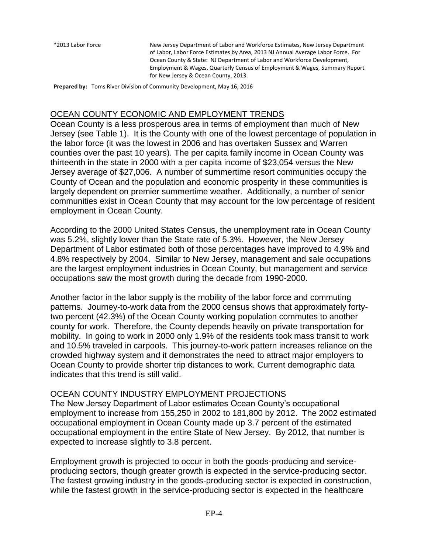\*2013 Labor Force New Jersey Department of Labor and Workforce Estimates, New Jersey Department of Labor, Labor Force Estimates by Area, 2013 NJ Annual Average Labor Force. For Ocean County & State: NJ Department of Labor and Workforce Development, Employment & Wages, Quarterly Census of Employment & Wages, Summary Report for New Jersey & Ocean County, 2013.

**Prepared by:** Toms River Division of Community Development, May 16, 2016

#### OCEAN COUNTY ECONOMIC AND EMPLOYMENT TRENDS

Ocean County is a less prosperous area in terms of employment than much of New Jersey (see Table 1). It is the County with one of the lowest percentage of population in the labor force (it was the lowest in 2006 and has overtaken Sussex and Warren counties over the past 10 years). The per capita family income in Ocean County was thirteenth in the state in 2000 with a per capita income of \$23,054 versus the New Jersey average of \$27,006. A number of summertime resort communities occupy the County of Ocean and the population and economic prosperity in these communities is largely dependent on premier summertime weather. Additionally, a number of senior communities exist in Ocean County that may account for the low percentage of resident employment in Ocean County.

According to the 2000 United States Census, the unemployment rate in Ocean County was 5.2%, slightly lower than the State rate of 5.3%. However, the New Jersey Department of Labor estimated both of those percentages have improved to 4.9% and 4.8% respectively by 2004. Similar to New Jersey, management and sale occupations are the largest employment industries in Ocean County, but management and service occupations saw the most growth during the decade from 1990-2000.

Another factor in the labor supply is the mobility of the labor force and commuting patterns. Journey-to-work data from the 2000 census shows that approximately fortytwo percent (42.3%) of the Ocean County working population commutes to another county for work. Therefore, the County depends heavily on private transportation for mobility. In going to work in 2000 only 1.9% of the residents took mass transit to work and 10.5% traveled in carpools. This journey-to-work pattern increases reliance on the crowded highway system and it demonstrates the need to attract major employers to Ocean County to provide shorter trip distances to work. Current demographic data indicates that this trend is still valid.

### OCEAN COUNTY INDUSTRY EMPLOYMENT PROJECTIONS

The New Jersey Department of Labor estimates Ocean County's occupational employment to increase from 155,250 in 2002 to 181,800 by 2012. The 2002 estimated occupational employment in Ocean County made up 3.7 percent of the estimated occupational employment in the entire State of New Jersey. By 2012, that number is expected to increase slightly to 3.8 percent.

Employment growth is projected to occur in both the goods-producing and serviceproducing sectors, though greater growth is expected in the service-producing sector. The fastest growing industry in the goods-producing sector is expected in construction, while the fastest growth in the service-producing sector is expected in the healthcare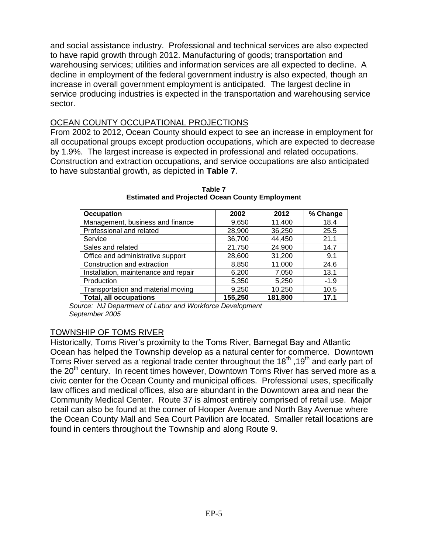and social assistance industry. Professional and technical services are also expected to have rapid growth through 2012. Manufacturing of goods; transportation and warehousing services; utilities and information services are all expected to decline. A decline in employment of the federal government industry is also expected, though an increase in overall government employment is anticipated. The largest decline in service producing industries is expected in the transportation and warehousing service sector.

#### OCEAN COUNTY OCCUPATIONAL PROJECTIONS

From 2002 to 2012, Ocean County should expect to see an increase in employment for all occupational groups except production occupations, which are expected to decrease by 1.9%. The largest increase is expected in professional and related occupations. Construction and extraction occupations, and service occupations are also anticipated to have substantial growth, as depicted in **Table 7**.

| Occupation                           | 2002    | 2012    | % Change |
|--------------------------------------|---------|---------|----------|
| Management, business and finance     | 9,650   | 11,400  | 18.4     |
| Professional and related             | 28,900  | 36,250  | 25.5     |
| Service                              | 36,700  | 44,450  | 21.1     |
| Sales and related                    | 21,750  | 24,900  | 14.7     |
| Office and administrative support    | 28,600  | 31,200  | 9.1      |
| Construction and extraction          | 8,850   | 11,000  | 24.6     |
| Installation, maintenance and repair | 6,200   | 7,050   | 13.1     |
| Production                           | 5,350   | 5,250   | $-1.9$   |
| Transportation and material moving   | 9,250   | 10,250  | 10.5     |
| <b>Total, all occupations</b>        | 155,250 | 181,800 | 17.1     |

**Table 7 Estimated and Projected Ocean County Employment**

*Source: NJ Department of Labor and Workforce Development September 2005*

#### TOWNSHIP OF TOMS RIVER

Historically, Toms River's proximity to the Toms River, Barnegat Bay and Atlantic Ocean has helped the Township develop as a natural center for commerce. Downtown Toms River served as a regional trade center throughout the 18<sup>th</sup>, 19<sup>th</sup> and early part of the 20<sup>th</sup> century. In recent times however, Downtown Toms River has served more as a civic center for the Ocean County and municipal offices. Professional uses, specifically law offices and medical offices, also are abundant in the Downtown area and near the Community Medical Center. Route 37 is almost entirely comprised of retail use. Major retail can also be found at the corner of Hooper Avenue and North Bay Avenue where the Ocean County Mall and Sea Court Pavilion are located. Smaller retail locations are found in centers throughout the Township and along Route 9.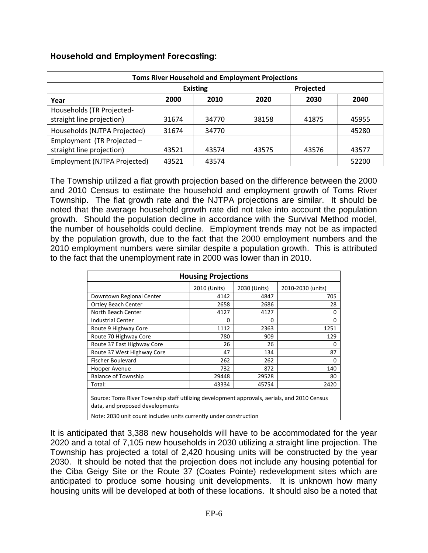| <b>Toms River Household and Employment Projections</b> |                              |       |       |       |       |
|--------------------------------------------------------|------------------------------|-------|-------|-------|-------|
|                                                        | <b>Existing</b><br>Projected |       |       |       |       |
| Year                                                   | 2000                         | 2010  | 2020  | 2030  | 2040  |
| Households (TR Projected-                              |                              |       |       |       |       |
| straight line projection)                              | 31674                        | 34770 | 38158 | 41875 | 45955 |
| Households (NJTPA Projected)                           | 31674                        | 34770 |       |       | 45280 |
| Employment (TR Projected -                             |                              |       |       |       |       |
| straight line projection)                              | 43521                        | 43574 | 43575 | 43576 | 43577 |
| Employment (NJTPA Projected)                           | 43521                        | 43574 |       |       | 52200 |

#### **Household and Employment Forecasting:**

The Township utilized a flat growth projection based on the difference between the 2000 and 2010 Census to estimate the household and employment growth of Toms River Township. The flat growth rate and the NJTPA projections are similar. It should be noted that the average household growth rate did not take into account the population growth. Should the population decline in accordance with the Survival Method model, the number of households could decline. Employment trends may not be as impacted by the population growth, due to the fact that the 2000 employment numbers and the 2010 employment numbers were similar despite a population growth. This is attributed to the fact that the unemployment rate in 2000 was lower than in 2010.

| <b>Housing Projections</b>                                                                                                     |              |              |                   |  |
|--------------------------------------------------------------------------------------------------------------------------------|--------------|--------------|-------------------|--|
|                                                                                                                                | 2010 (Units) | 2030 (Units) | 2010-2030 (units) |  |
| Downtown Regional Center                                                                                                       | 4142         | 4847         | 705               |  |
| <b>Ortley Beach Center</b>                                                                                                     | 2658         | 2686         | 28                |  |
| North Beach Center                                                                                                             | 4127         | 4127         | 0                 |  |
| <b>Industrial Center</b>                                                                                                       | 0            | 0            | 0                 |  |
| Route 9 Highway Core                                                                                                           | 1112         | 2363         | 1251              |  |
| Route 70 Highway Core                                                                                                          | 780          | 909          | 129               |  |
| Route 37 East Highway Core                                                                                                     | 26           | 26           | 0                 |  |
| Route 37 West Highway Core                                                                                                     | 47           | 134          | 87                |  |
| <b>Fischer Boulevard</b>                                                                                                       | 262          | 262          | 0                 |  |
| Hooper Avenue                                                                                                                  | 732          | 872          | 140               |  |
| <b>Balance of Township</b>                                                                                                     | 29448        | 29528        | 80                |  |
| Total:                                                                                                                         | 43334        | 45754        | 2420              |  |
| Source: Toms River Township staff utilizing development approvals, aerials, and 2010 Census<br>data, and proposed developments |              |              |                   |  |

Note: 2030 unit count includes units currently under construction

It is anticipated that 3,388 new households will have to be accommodated for the year 2020 and a total of 7,105 new households in 2030 utilizing a straight line projection. The Township has projected a total of 2,420 housing units will be constructed by the year 2030. It should be noted that the projection does not include any housing potential for the Ciba Geigy Site or the Route 37 (Coates Pointe) redevelopment sites which are anticipated to produce some housing unit developments. It is unknown how many housing units will be developed at both of these locations. It should also be a noted that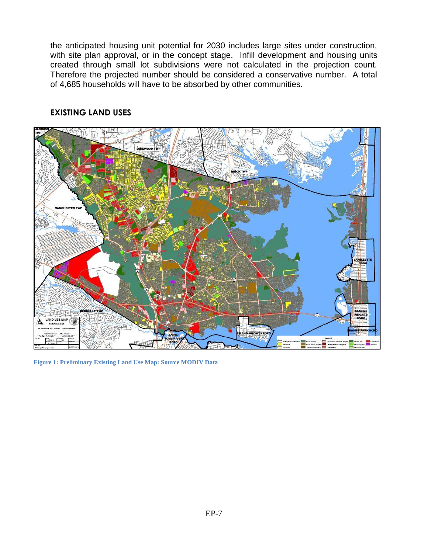the anticipated housing unit potential for 2030 includes large sites under construction, with site plan approval, or in the concept stage. Infill development and housing units created through small lot subdivisions were not calculated in the projection count. Therefore the projected number should be considered a conservative number. A total of 4,685 households will have to be absorbed by other communities.



### **EXISTING LAND USES**

**Figure 1: Preliminary Existing Land Use Map: Source MODIV Data**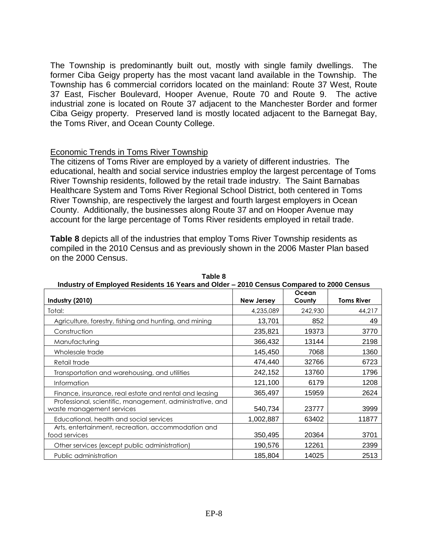The Township is predominantly built out, mostly with single family dwellings. The former Ciba Geigy property has the most vacant land available in the Township. The Township has 6 commercial corridors located on the mainland: Route 37 West, Route 37 East, Fischer Boulevard, Hooper Avenue, Route 70 and Route 9. The active industrial zone is located on Route 37 adjacent to the Manchester Border and former Ciba Geigy property. Preserved land is mostly located adjacent to the Barnegat Bay, the Toms River, and Ocean County College.

#### Economic Trends in Toms River Township

The citizens of Toms River are employed by a variety of different industries. The educational, health and social service industries employ the largest percentage of Toms River Township residents, followed by the retail trade industry. The Saint Barnabas Healthcare System and Toms River Regional School District, both centered in Toms River Township, are respectively the largest and fourth largest employers in Ocean County. Additionally, the businesses along Route 37 and on Hooper Avenue may account for the large percentage of Toms River residents employed in retail trade.

**Table 8** depicts all of the industries that employ Toms River Township residents as compiled in the 2010 Census and as previously shown in the 2006 Master Plan based on the 2000 Census.

| <u> Industry of Employed Residents To Tears and Older – zo Io Gensus Compared to zood Gensus</u> |                   |         |                   |
|--------------------------------------------------------------------------------------------------|-------------------|---------|-------------------|
|                                                                                                  |                   | Ocean   |                   |
| Industry (2010)                                                                                  | <b>New Jersey</b> | County  | <b>Toms River</b> |
| Total:                                                                                           | 4,235,089         | 242,930 | 44,217            |
| Agriculture, forestry, fishing and hunting, and mining                                           | 13,701            | 852     | 49                |
| Construction                                                                                     | 235,821           | 19373   | 3770              |
| Manufacturing                                                                                    | 366,432           | 13144   | 2198              |
| Wholesale trade                                                                                  | 145,450           | 7068    | 1360              |
| Retail trade                                                                                     | 474,440           | 32766   | 6723              |
| Transportation and warehousing, and utilities                                                    | 242,152           | 13760   | 1796              |
| Information                                                                                      | 121,100           | 6179    | 1208              |
| Finance, insurance, real estate and rental and leasing                                           | 365,497           | 15959   | 2624              |
| Professional, scientific, management, administrative, and<br>waste management services           | 540,734           | 23777   | 3999              |
| Educational, health and social services                                                          | 1,002,887         | 63402   | 11877             |
| Arts, entertainment, recreation, accommodation and<br>food services                              | 350,495           | 20364   | 3701              |
| Other services (except public administration)                                                    | 190,576           | 12261   | 2399              |
| Public administration                                                                            | 185,804           | 14025   | 2513              |

**Table 8 Industry of Employed Residents 16 Years and Older – 2010 Census Compared to 2000 Census**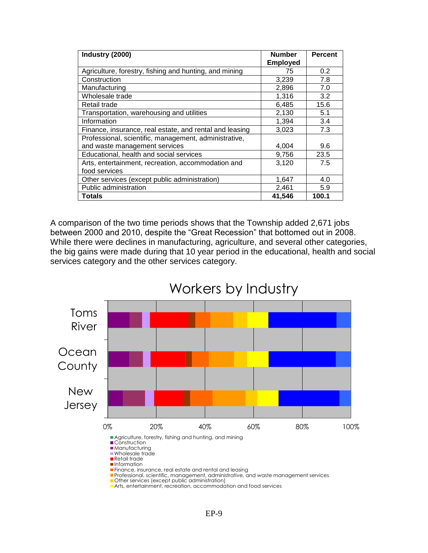| Industry (2000)                                         | <b>Number</b><br><b>Employed</b> | <b>Percent</b> |
|---------------------------------------------------------|----------------------------------|----------------|
| Agriculture, forestry, fishing and hunting, and mining  | 75                               | 0.2            |
| Construction                                            | 3,239                            | 7.8            |
| Manufacturing                                           | 2,896                            | 7.0            |
| Wholesale trade                                         | 1,316                            | 3.2            |
| Retail trade                                            | 6,485                            | 15.6           |
| Transportation, warehousing and utilities               | 2,130                            | 5.1            |
| Information                                             | 1,394                            | 3.4            |
| Finance, insurance, real estate, and rental and leasing | 3,023                            | 7.3            |
| Professional, scientific, management, administrative,   |                                  |                |
| and waste management services                           | 4,004                            | 9.6            |
| Educational, health and social services                 | 9,756                            | 23.5           |
| Arts, entertainment, recreation, accommodation and      | 3,120                            | 7.5            |
| food services                                           |                                  |                |
| Other services (except public administration)           | 1,647                            | 4.0            |
| Public administration                                   | 2,461                            | 5.9            |
| Totals                                                  | 41,546                           | 100.1          |

A comparison of the two time periods shows that the Township added 2,671 jobs between 2000 and 2010, despite the "Great Recession" that bottomed out in 2008. While there were declines in manufacturing, agriculture, and several other categories, the big gains were made during that 10 year period in the educational, health and social services category and the other services category.



Arts, entertainment, recreation, accommodation and food services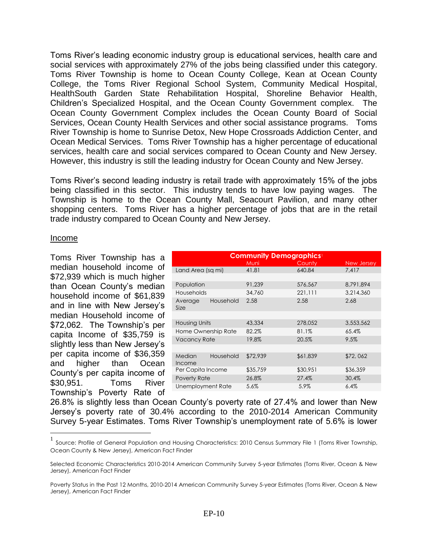Toms River's leading economic industry group is educational services, health care and social services with approximately 27% of the jobs being classified under this category. Toms River Township is home to Ocean County College, Kean at Ocean County College, the Toms River Regional School System, Community Medical Hospital, HealthSouth Garden State Rehabilitation Hospital, Shoreline Behavior Health, Children's Specialized Hospital, and the Ocean County Government complex. The Ocean County Government Complex includes the Ocean County Board of Social Services, Ocean County Health Services and other social assistance programs. Toms River Township is home to Sunrise Detox, New Hope Crossroads Addiction Center, and Ocean Medical Services. Toms River Township has a higher percentage of educational services, health care and social services compared to Ocean County and New Jersey. However, this industry is still the leading industry for Ocean County and New Jersey.

Toms River's second leading industry is retail trade with approximately 15% of the jobs being classified in this sector. This industry tends to have low paying wages. The Township is home to the Ocean County Mall, Seacourt Pavilion, and many other shopping centers. Toms River has a higher percentage of jobs that are in the retail trade industry compared to Ocean County and New Jersey.

#### Income

 $\overline{a}$ 

Toms River Township has a median household income of \$72,939 which is much higher than Ocean County's median household income of \$61,839 and in line with New Jersey's median Household income of \$72,062. The Township's per capita Income of \$35,759 is slightly less than New Jersey's per capita income of \$36,359 and higher than Ocean County's per capita income of \$30,951. Toms River Township's Poverty Rate of

| <b>Community Demographics</b> |           |          |          |            |  |
|-------------------------------|-----------|----------|----------|------------|--|
|                               |           | Muni     | County   | New Jersey |  |
| Land Area (sa mi)             |           | 41.81    | 640.84   | 7.417      |  |
|                               |           |          |          |            |  |
| Population                    |           | 91,239   | 576,567  | 8,791,894  |  |
| <b>Households</b>             |           | 34,760   | 221.111  | 3.214.360  |  |
| Average<br>Size               | Household | 2.58     | 2.58     | 2.68       |  |
|                               |           |          |          |            |  |
| <b>Housing Units</b>          |           | 43,334   | 278,052  | 3,553,562  |  |
| Home Ownership Rate           |           | 82.2%    | 81.1%    | 65.4%      |  |
| <b>Vacancy Rate</b>           |           | 19.8%    | 20.5%    | 9.5%       |  |
|                               |           |          |          |            |  |
| Median<br>Income              | Household | \$72,939 | \$61,839 | \$72,062   |  |
| Per Capita Income             |           | \$35,759 | \$30,951 | \$36,359   |  |
| Poverty Rate                  |           | 26.8%    | 27.4%    | 30.4%      |  |
| Unemployment Rate             |           | 5.6%     | 5.9%     | 6.4%       |  |
|                               |           |          |          |            |  |

26.8% is slightly less than Ocean County's poverty rate of 27.4% and lower than New Jersey's poverty rate of 30.4% according to the 2010-2014 American Community Survey 5-year Estimates. Toms River Township's unemployment rate of 5.6% is lower

<sup>1</sup> Source: Profile of General Population and Housing Characteristics: 2010 Census Summary File 1 (Toms River Township, Ocean County & New Jersey), American Fact Finder

Selected Economic Characteristics 2010-2014 American Community Survey 5-year Estimates (Toms River, Ocean & New Jersey), American Fact Finder

Poverty Status in the Past 12 Months, 2010-2014 American Community Survey 5-year Estimates (Toms River, Ocean & New Jersey), American Fact Finder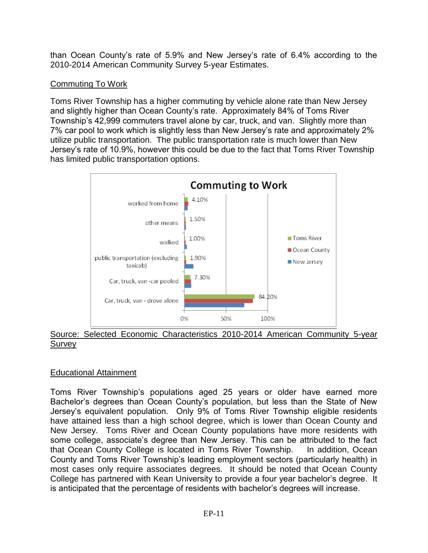than Ocean County's rate of 5.9% and New Jersey's rate of 6.4% according to the 2010-2014 American Community Survey 5-year Estimates.

# Commuting To Work

Toms River Township has a higher commuting by vehicle alone rate than New Jersey and slightly higher than Ocean County's rate. Approximately 84% of Toms River Township's 42,999 commuters travel alone by car, truck, and van. Slightly more than 7% car pool to work which is slightly less than New Jersey's rate and approximately 2% utilize public transportation. The public transportation rate is much lower than New Jersey's rate of 10.9%, however this could be due to the fact that Toms River Township has limited public transportation options.



#### Source: Selected Economic Characteristics 2010-2014 American Community 5-year Survey

# Educational Attainment

Toms River Township's populations aged 25 years or older have earned more Bachelor's degrees than Ocean County's population, but less than the State of New Jersey's equivalent population. Only 9% of Toms River Township eligible residents have attained less than a high school degree, which is lower than Ocean County and New Jersey. Toms River and Ocean County populations have more residents with some college, associate's degree than New Jersey. This can be attributed to the fact that Ocean County College is located in Toms River Township. In addition, Ocean County and Toms River Township's leading employment sectors (particularly health) in most cases only require associates degrees. It should be noted that Ocean County College has partnered with Kean University to provide a four year bachelor's degree. It is anticipated that the percentage of residents with bachelor's degrees will increase.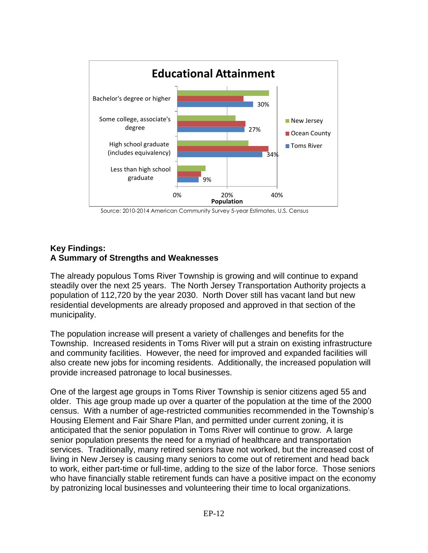

Source: 2010-2014 American Community Survey 5-year Estimates, U.S. Census

#### **Key Findings: A Summary of Strengths and Weaknesses**

The already populous Toms River Township is growing and will continue to expand steadily over the next 25 years. The North Jersey Transportation Authority projects a population of 112,720 by the year 2030. North Dover still has vacant land but new residential developments are already proposed and approved in that section of the municipality.

The population increase will present a variety of challenges and benefits for the Township. Increased residents in Toms River will put a strain on existing infrastructure and community facilities. However, the need for improved and expanded facilities will also create new jobs for incoming residents. Additionally, the increased population will provide increased patronage to local businesses.

One of the largest age groups in Toms River Township is senior citizens aged 55 and older. This age group made up over a quarter of the population at the time of the 2000 census. With a number of age-restricted communities recommended in the Township's Housing Element and Fair Share Plan, and permitted under current zoning, it is anticipated that the senior population in Toms River will continue to grow. A large senior population presents the need for a myriad of healthcare and transportation services. Traditionally, many retired seniors have not worked, but the increased cost of living in New Jersey is causing many seniors to come out of retirement and head back to work, either part-time or full-time, adding to the size of the labor force. Those seniors who have financially stable retirement funds can have a positive impact on the economy by patronizing local businesses and volunteering their time to local organizations.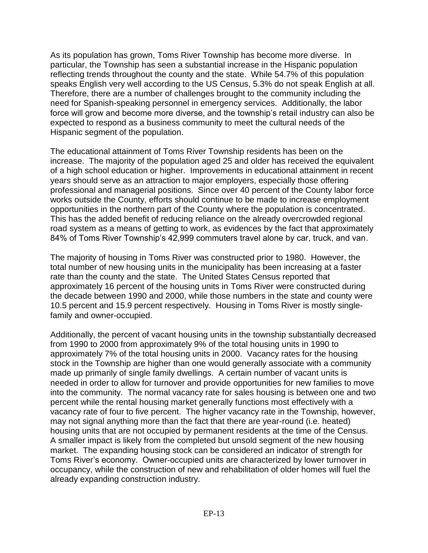As its population has grown, Toms River Township has become more diverse. In particular, the Township has seen a substantial increase in the Hispanic population reflecting trends throughout the county and the state. While 54.7% of this population speaks English very well according to the US Census, 5.3% do not speak English at all. Therefore, there are a number of challenges brought to the community including the need for Spanish-speaking personnel in emergency services. Additionally, the labor force will grow and become more diverse, and the township's retail industry can also be expected to respond as a business community to meet the cultural needs of the Hispanic segment of the population.

The educational attainment of Toms River Township residents has been on the increase. The majority of the population aged 25 and older has received the equivalent of a high school education or higher. Improvements in educational attainment in recent years should serve as an attraction to major employers, especially those offering professional and managerial positions. Since over 40 percent of the County labor force works outside the County, efforts should continue to be made to increase employment opportunities in the northern part of the County where the population is concentrated. This has the added benefit of reducing reliance on the already overcrowded regional road system as a means of getting to work, as evidences by the fact that approximately 84% of Toms River Township's 42,999 commuters travel alone by car, truck, and van.

The majority of housing in Toms River was constructed prior to 1980. However, the total number of new housing units in the municipality has been increasing at a faster rate than the county and the state. The United States Census reported that approximately 16 percent of the housing units in Toms River were constructed during the decade between 1990 and 2000, while those numbers in the state and county were 10.5 percent and 15.9 percent respectively. Housing in Toms River is mostly singlefamily and owner-occupied.

Additionally, the percent of vacant housing units in the township substantially decreased from 1990 to 2000 from approximately 9% of the total housing units in 1990 to approximately 7% of the total housing units in 2000. Vacancy rates for the housing stock in the Township are higher than one would generally associate with a community made up primarily of single family dwellings. A certain number of vacant units is needed in order to allow for turnover and provide opportunities for new families to move into the community. The normal vacancy rate for sales housing is between one and two percent while the rental housing market generally functions most effectively with a vacancy rate of four to five percent. The higher vacancy rate in the Township, however, may not signal anything more than the fact that there are year-round (i.e. heated) housing units that are not occupied by permanent residents at the time of the Census. A smaller impact is likely from the completed but unsold segment of the new housing market. The expanding housing stock can be considered an indicator of strength for Toms River's economy. Owner-occupied units are characterized by lower turnover in occupancy, while the construction of new and rehabilitation of older homes will fuel the already expanding construction industry.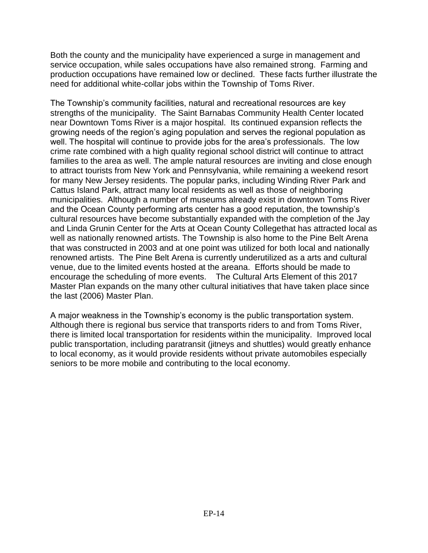Both the county and the municipality have experienced a surge in management and service occupation, while sales occupations have also remained strong. Farming and production occupations have remained low or declined. These facts further illustrate the need for additional white-collar jobs within the Township of Toms River.

The Township's community facilities, natural and recreational resources are key strengths of the municipality. The Saint Barnabas Community Health Center located near Downtown Toms River is a major hospital. Its continued expansion reflects the growing needs of the region's aging population and serves the regional population as well. The hospital will continue to provide jobs for the area's professionals. The low crime rate combined with a high quality regional school district will continue to attract families to the area as well. The ample natural resources are inviting and close enough to attract tourists from New York and Pennsylvania, while remaining a weekend resort for many New Jersey residents. The popular parks, including Winding River Park and Cattus Island Park, attract many local residents as well as those of neighboring municipalities. Although a number of museums already exist in downtown Toms River and the Ocean County performing arts center has a good reputation, the township's cultural resources have become substantially expanded with the completion of the Jay and Linda Grunin Center for the Arts at Ocean County Collegethat has attracted local as well as nationally renowned artists. The Township is also home to the Pine Belt Arena that was constructed in 2003 and at one point was utilized for both local and nationally renowned artists. The Pine Belt Arena is currently underutilized as a arts and cultural venue, due to the limited events hosted at the areana. Efforts should be made to encourage the scheduling of more events. The Cultural Arts Element of this 2017 Master Plan expands on the many other cultural initiatives that have taken place since the last (2006) Master Plan.

A major weakness in the Township's economy is the public transportation system. Although there is regional bus service that transports riders to and from Toms River, there is limited local transportation for residents within the municipality. Improved local public transportation, including paratransit (jitneys and shuttles) would greatly enhance to local economy, as it would provide residents without private automobiles especially seniors to be more mobile and contributing to the local economy.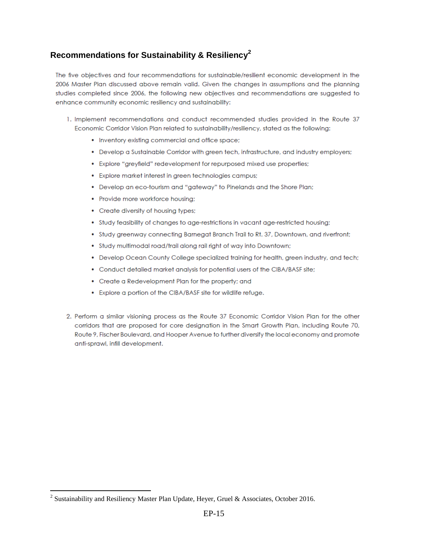# **Recommendations for Sustainability & Resiliency<sup>2</sup>**

The five objectives and four recommendations for sustainable/resilient economic development in the 2006 Master Plan discussed above remain valid. Given the changes in assumptions and the planning studies completed since 2006, the following new objectives and recommendations are suggested to enhance community economic resiliency and sustainability:

- 1. Implement recommendations and conduct recommended studies provided in the Route 37 Economic Corridor Vision Plan related to sustainability/resiliency, stated as the following:
	- Inventory existing commercial and office space;
	- Develop a Sustainable Corridor with green tech, infrastructure, and industry employers;
	- Explore "greyfield" redevelopment for repurposed mixed use properties;
	- Explore market interest in green technologies campus;
	- Develop an eco-tourism and "gateway" to Pinelands and the Shore Plan;
	- Provide more workforce housing;
	- Create diversity of housing types;
	- Study feasibility of changes to age-restrictions in vacant age-restricted housing;
	- Study greenway connecting Barnegat Branch Trail to Rt. 37, Downtown, and riverfront;
	- . Study multimodal road/trail along rail right of way into Downtown;
	- Develop Ocean County College specialized training for health, green industry, and tech;
	- Conduct detailed market analysis for potential users of the CIBA/BASF site;
	- Create a Redevelopment Plan for the property; and
	- Explore a portion of the CIBA/BASF site for wildlife refuge.
- 2. Perform a similar visioning process as the Route 37 Economic Corridor Vision Plan for the other corridors that are proposed for core designation in the Smart Growth Plan, including Route 70, Route 9, Fischer Boulevard, and Hooper Avenue to further diversify the local economy and promote anti-sprawl, infill development.

 $\overline{a}$ 

<sup>&</sup>lt;sup>2</sup> Sustainability and Resiliency Master Plan Update, Heyer, Gruel & Associates, October 2016.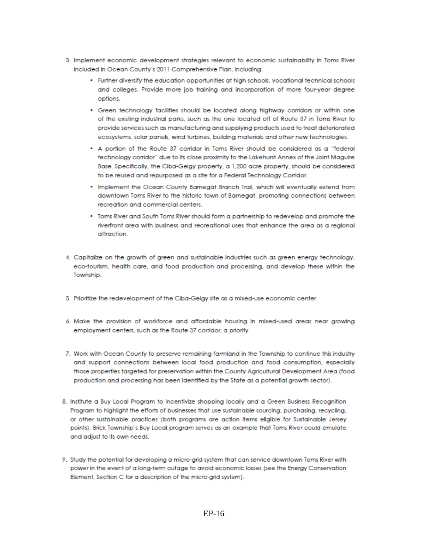- 3. Implement economic development strategies relevant to economic sustainability in Toms River included in Ocean County's 2011 Comprehensive Plan, including:
	- Further diversify the education opportunities at high schools, vocational technical schools and colleges. Provide more job training and incorporation of more four-year degree options.
	- Green technology facilities should be located along highway corridors or within one of the existing industrial parks, such as the one located off of Route 37 in Toms River to provide services such as manufacturing and supplying products used to treat deteriorated ecosystems, solar panels, wind turbines, building materials and other new technologies.
	- A portion of the Route 37 corridor in Toms River should be considered as a "federal technology corridor" due to its close proximity to the Lakehurst Annex of the Joint Maguire Base. Specifically, the Ciba-Geigy property, a 1,200 acre property, should be considered to be reused and repurposed as a site for a Federal Technology Corridor.
	- . Implement the Ocean County Barnegat Branch Trail, which will eventually extend from downtown Toms River to the historic town of Barnegat, promoting connections between recreation and commercial centers.
	- Toms River and South Toms River should form a partnership to redevelop and promote the riverfront area with business and recreational uses that enhance the area as a reaional attraction
- 4. Capitalize on the growth of green and sustainable industries such as green energy technology, eco-tourism, health care, and food production and processing, and develop these within the Township.
- 5. Prioritize the redevelopment of the Ciba-Geigy site as a mixed-use economic center.
- 6. Make the provision of workforce and affordable housing in mixed-used areas near growing employment centers, such as the Route 37 corridor, a priority.
- 7. Work with Ocean County to preserve remaining farmland in the Township to continue this industry and support connections between local food production and food consumption, especially those properties targeted for preservation within the County Agricultural Development Area (food production and processing has been identified by the State as a potential growth sector).
- 8. Institute a Buy Local Program to incentivize shopping locally and a Green Business Recognition Program to highlight the efforts of businesses that use sustainable sourcing, purchasing, recycling, or other sustainable practices (both programs are action items eligible for Sustainable Jersey points). Brick Township's Buy Local program serves as an example that Toms River could emulate and adjust to its own needs.
- 9. Study the potential for developing a micro-grid system that can service downtown Toms River with power in the event of a long-term outage to avoid economic losses (see the Energy Conservation Element, Section C for a description of the micro-grid system).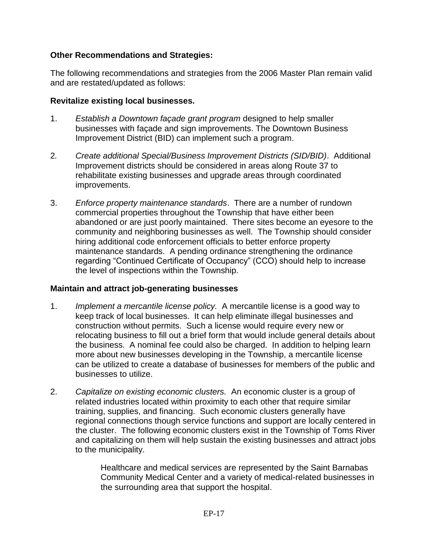# **Other Recommendations and Strategies:**

The following recommendations and strategies from the 2006 Master Plan remain valid and are restated/updated as follows:

### **Revitalize existing local businesses.**

- 1. *Establish a Downtown façade grant program* designed to help smaller businesses with façade and sign improvements. The Downtown Business Improvement District (BID) can implement such a program.
- 2*. Create additional Special/Business Improvement Districts (SID/BID)*. Additional Improvement districts should be considered in areas along Route 37 to rehabilitate existing businesses and upgrade areas through coordinated improvements.
- 3. *Enforce property maintenance standards*. There are a number of rundown commercial properties throughout the Township that have either been abandoned or are just poorly maintained. There sites become an eyesore to the community and neighboring businesses as well. The Township should consider hiring additional code enforcement officials to better enforce property maintenance standards. A pending ordinance strengthening the ordinance regarding "Continued Certificate of Occupancy" (CCO) should help to increase the level of inspections within the Township.

#### **Maintain and attract job-generating businesses**

- 1. *Implement a mercantile license policy.* A mercantile license is a good way to keep track of local businesses. It can help eliminate illegal businesses and construction without permits. Such a license would require every new or relocating business to fill out a brief form that would include general details about the business. A nominal fee could also be charged. In addition to helping learn more about new businesses developing in the Township, a mercantile license can be utilized to create a database of businesses for members of the public and businesses to utilize.
- 2. *Capitalize on existing economic clusters.* An economic cluster is a group of related industries located within proximity to each other that require similar training, supplies, and financing. Such economic clusters generally have regional connections though service functions and support are locally centered in the cluster. The following economic clusters exist in the Township of Toms River and capitalizing on them will help sustain the existing businesses and attract jobs to the municipality.

Healthcare and medical services are represented by the Saint Barnabas Community Medical Center and a variety of medical-related businesses in the surrounding area that support the hospital.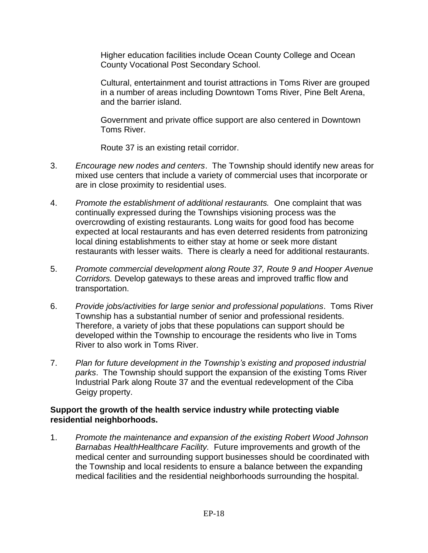Higher education facilities include Ocean County College and Ocean County Vocational Post Secondary School.

Cultural, entertainment and tourist attractions in Toms River are grouped in a number of areas including Downtown Toms River, Pine Belt Arena, and the barrier island.

Government and private office support are also centered in Downtown Toms River.

Route 37 is an existing retail corridor.

- 3. *Encourage new nodes and centers*. The Township should identify new areas for mixed use centers that include a variety of commercial uses that incorporate or are in close proximity to residential uses.
- 4. *Promote the establishment of additional restaurants.* One complaint that was continually expressed during the Townships visioning process was the overcrowding of existing restaurants. Long waits for good food has become expected at local restaurants and has even deterred residents from patronizing local dining establishments to either stay at home or seek more distant restaurants with lesser waits. There is clearly a need for additional restaurants.
- 5. *Promote commercial development along Route 37, Route 9 and Hooper Avenue Corridors.* Develop gateways to these areas and improved traffic flow and transportation.
- 6. *Provide jobs/activities for large senior and professional populations*. Toms River Township has a substantial number of senior and professional residents. Therefore, a variety of jobs that these populations can support should be developed within the Township to encourage the residents who live in Toms River to also work in Toms River.
- 7. *Plan for future development in the Township's existing and proposed industrial parks*. The Township should support the expansion of the existing Toms River Industrial Park along Route 37 and the eventual redevelopment of the Ciba Geigy property.

# **Support the growth of the health service industry while protecting viable residential neighborhoods.**

1. *Promote the maintenance and expansion of the existing Robert Wood Johnson Barnabas HealthHealthcare Facility.* Future improvements and growth of the medical center and surrounding support businesses should be coordinated with the Township and local residents to ensure a balance between the expanding medical facilities and the residential neighborhoods surrounding the hospital.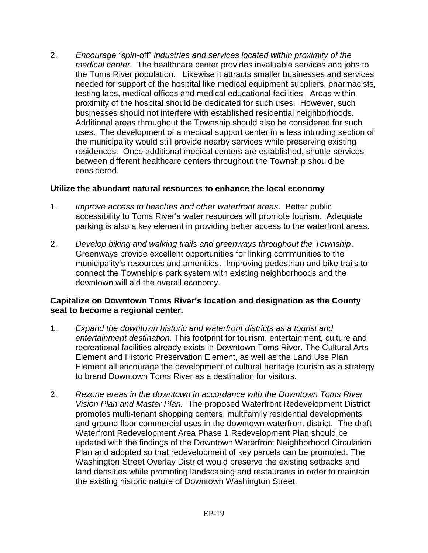2. *Encourage "spin-*off" *industries and services located within proximity of the medical center.* The healthcare center provides invaluable services and jobs to the Toms River population. Likewise it attracts smaller businesses and services needed for support of the hospital like medical equipment suppliers, pharmacists, testing labs, medical offices and medical educational facilities. Areas within proximity of the hospital should be dedicated for such uses. However, such businesses should not interfere with established residential neighborhoods. Additional areas throughout the Township should also be considered for such uses. The development of a medical support center in a less intruding section of the municipality would still provide nearby services while preserving existing residences. Once additional medical centers are established, shuttle services between different healthcare centers throughout the Township should be considered.

#### **Utilize the abundant natural resources to enhance the local economy**

- 1. *Improve access to beaches and other waterfront areas*. Better public accessibility to Toms River's water resources will promote tourism. Adequate parking is also a key element in providing better access to the waterfront areas.
- 2. *Develop biking and walking trails and greenways throughout the Township*. Greenways provide excellent opportunities for linking communities to the municipality's resources and amenities. Improving pedestrian and bike trails to connect the Township's park system with existing neighborhoods and the downtown will aid the overall economy.

### **Capitalize on Downtown Toms River's location and designation as the County seat to become a regional center.**

- 1. *Expand the downtown historic and waterfront districts as a tourist and entertainment destination.* This footprint for tourism, entertainment, culture and recreational facilities already exists in Downtown Toms River. The Cultural Arts Element and Historic Preservation Element, as well as the Land Use Plan Element all encourage the development of cultural heritage tourism as a strategy to brand Downtown Toms River as a destination for visitors.
- 2. *Rezone areas in the downtown in accordance with the Downtown Toms River Vision Plan and Master Plan.* The proposed Waterfront Redevelopment District promotes multi-tenant shopping centers, multifamily residential developments and ground floor commercial uses in the downtown waterfront district. The draft Waterfront Redevelopment Area Phase 1 Redevelopment Plan should be updated with the findings of the Downtown Waterfront Neighborhood Circulation Plan and adopted so that redevelopment of key parcels can be promoted. The Washington Street Overlay District would preserve the existing setbacks and land densities while promoting landscaping and restaurants in order to maintain the existing historic nature of Downtown Washington Street.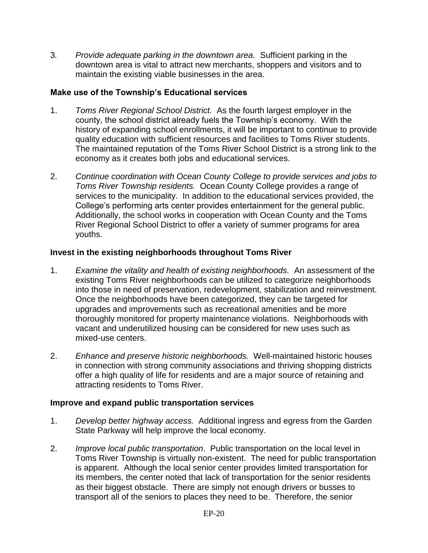3*. Provide adequate parking in the downtown area.* Sufficient parking in the downtown area is vital to attract new merchants, shoppers and visitors and to maintain the existing viable businesses in the area.

# **Make use of the Township's Educational services**

- 1. *Toms River Regional School District.* As the fourth largest employer in the county, the school district already fuels the Township's economy.With the history of expanding school enrollments, it will be important to continue to provide quality education with sufficient resources and facilities to Toms River students. The maintained reputation of the Toms River School District is a strong link to the economy as it creates both jobs and educational services.
- 2. *Continue coordination with Ocean County College to provide services and jobs to Toms River Township residents.* Ocean County College provides a range of services to the municipality. In addition to the educational services provided, the College's performing arts center provides entertainment for the general public. Additionally, the school works in cooperation with Ocean County and the Toms River Regional School District to offer a variety of summer programs for area youths.

# **Invest in the existing neighborhoods throughout Toms River**

- 1. *Examine the vitality and health of existing neighborhoods.* An assessment of the existing Toms River neighborhoods can be utilized to categorize neighborhoods into those in need of preservation, redevelopment, stabilization and reinvestment. Once the neighborhoods have been categorized, they can be targeted for upgrades and improvements such as recreational amenities and be more thoroughly monitored for property maintenance violations. Neighborhoods with vacant and underutilized housing can be considered for new uses such as mixed-use centers.
- 2. *Enhance and preserve historic neighborhoods.* Well-maintained historic houses in connection with strong community associations and thriving shopping districts offer a high quality of life for residents and are a major source of retaining and attracting residents to Toms River.

# **Improve and expand public transportation services**

- 1. *Develop better highway access.* Additional ingress and egress from the Garden State Parkway will help improve the local economy.
- 2. *Improve local public transportation*. Public transportation on the local level in Toms River Township is virtually non-existent. The need for public transportation is apparent. Although the local senior center provides limited transportation for its members, the center noted that lack of transportation for the senior residents as their biggest obstacle. There are simply not enough drivers or busses to transport all of the seniors to places they need to be. Therefore, the senior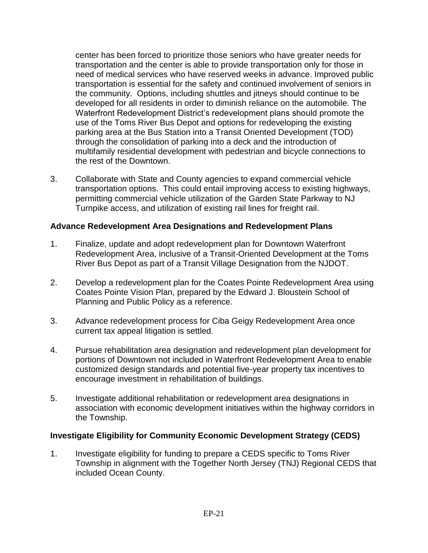center has been forced to prioritize those seniors who have greater needs for transportation and the center is able to provide transportation only for those in need of medical services who have reserved weeks in advance. Improved public transportation is essential for the safety and continued involvement of seniors in the community. Options, including shuttles and jitneys should continue to be developed for all residents in order to diminish reliance on the automobile. The Waterfront Redevelopment District's redevelopment plans should promote the use of the Toms River Bus Depot and options for redeveloping the existing parking area at the Bus Station into a Transit Oriented Development (TOD) through the consolidation of parking into a deck and the introduction of multifamily residential development with pedestrian and bicycle connections to the rest of the Downtown.

3. Collaborate with State and County agencies to expand commercial vehicle transportation options. This could entail improving access to existing highways, permitting commercial vehicle utilization of the Garden State Parkway to NJ Turnpike access, and utilization of existing rail lines for freight rail.

# **Advance Redevelopment Area Designations and Redevelopment Plans**

- 1. Finalize, update and adopt redevelopment plan for Downtown Waterfront Redevelopment Area, inclusive of a Transit-Oriented Development at the Toms River Bus Depot as part of a Transit Village Designation from the NJDOT.
- 2. Develop a redevelopment plan for the Coates Pointe Redevelopment Area using Coates Pointe Vision Plan, prepared by the Edward J. Bloustein School of Planning and Public Policy as a reference.
- 3. Advance redevelopment process for Ciba Geigy Redevelopment Area once current tax appeal litigation is settled.
- 4. Pursue rehabilitation area designation and redevelopment plan development for portions of Downtown not included in Waterfront Redevelopment Area to enable customized design standards and potential five-year property tax incentives to encourage investment in rehabilitation of buildings.
- 5. Investigate additional rehabilitation or redevelopment area designations in association with economic development initiatives within the highway corridors in the Township.

# **Investigate Eligibility for Community Economic Development Strategy (CEDS)**

1. Investigate eligibility for funding to prepare a CEDS specific to Toms River Township in alignment with the Together North Jersey (TNJ) Regional CEDS that included Ocean County.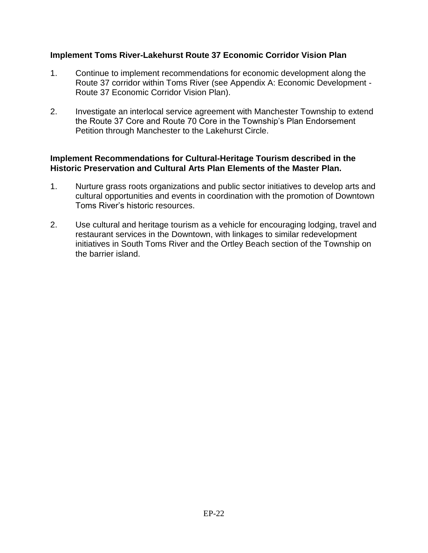### **Implement Toms River-Lakehurst Route 37 Economic Corridor Vision Plan**

- 1. Continue to implement recommendations for economic development along the Route 37 corridor within Toms River (see Appendix A: Economic Development - Route 37 Economic Corridor Vision Plan).
- 2. Investigate an interlocal service agreement with Manchester Township to extend the Route 37 Core and Route 70 Core in the Township's Plan Endorsement Petition through Manchester to the Lakehurst Circle.

#### **Implement Recommendations for Cultural-Heritage Tourism described in the Historic Preservation and Cultural Arts Plan Elements of the Master Plan.**

- 1. Nurture grass roots organizations and public sector initiatives to develop arts and cultural opportunities and events in coordination with the promotion of Downtown Toms River's historic resources.
- 2. Use cultural and heritage tourism as a vehicle for encouraging lodging, travel and restaurant services in the Downtown, with linkages to similar redevelopment initiatives in South Toms River and the Ortley Beach section of the Township on the barrier island.